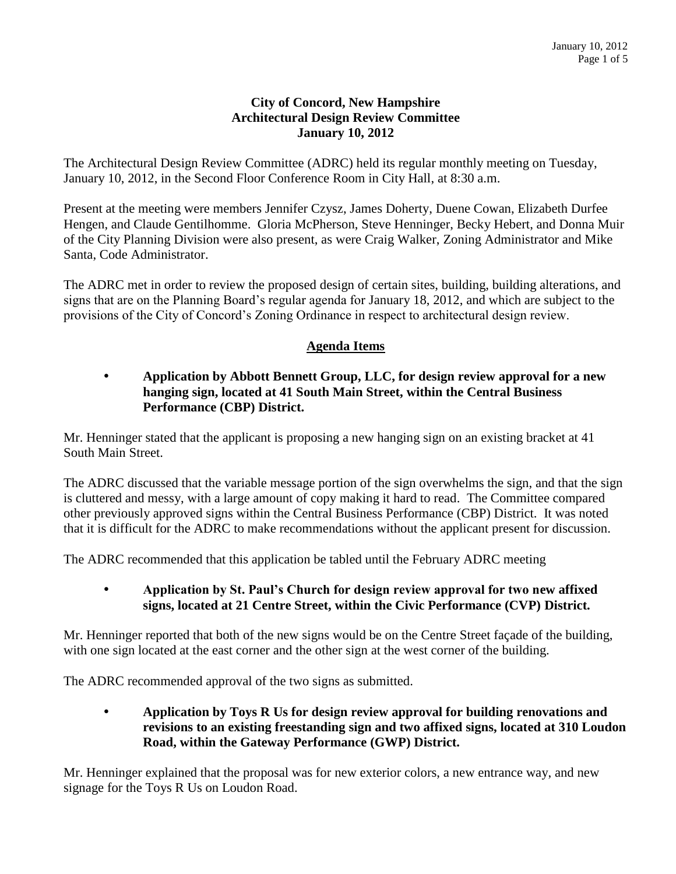### **City of Concord, New Hampshire Architectural Design Review Committee January 10, 2012**

The Architectural Design Review Committee (ADRC) held its regular monthly meeting on Tuesday, January 10, 2012, in the Second Floor Conference Room in City Hall, at 8:30 a.m.

Present at the meeting were members Jennifer Czysz, James Doherty, Duene Cowan, Elizabeth Durfee Hengen, and Claude Gentilhomme. Gloria McPherson, Steve Henninger, Becky Hebert, and Donna Muir of the City Planning Division were also present, as were Craig Walker, Zoning Administrator and Mike Santa, Code Administrator.

The ADRC met in order to review the proposed design of certain sites, building, building alterations, and signs that are on the Planning Board's regular agenda for January 18, 2012, and which are subject to the provisions of the City of Concord's Zoning Ordinance in respect to architectural design review.

## **Agenda Items**

## **Application by Abbott Bennett Group, LLC, for design review approval for a new hanging sign, located at 41 South Main Street, within the Central Business Performance (CBP) District.**

Mr. Henninger stated that the applicant is proposing a new hanging sign on an existing bracket at 41 South Main Street.

The ADRC discussed that the variable message portion of the sign overwhelms the sign, and that the sign is cluttered and messy, with a large amount of copy making it hard to read. The Committee compared other previously approved signs within the Central Business Performance (CBP) District. It was noted that it is difficult for the ADRC to make recommendations without the applicant present for discussion.

The ADRC recommended that this application be tabled until the February ADRC meeting

## **Application by St. Paul's Church for design review approval for two new affixed signs, located at 21 Centre Street, within the Civic Performance (CVP) District.**

Mr. Henninger reported that both of the new signs would be on the Centre Street façade of the building, with one sign located at the east corner and the other sign at the west corner of the building.

The ADRC recommended approval of the two signs as submitted.

 **Application by Toys R Us for design review approval for building renovations and revisions to an existing freestanding sign and two affixed signs, located at 310 Loudon Road, within the Gateway Performance (GWP) District.** 

Mr. Henninger explained that the proposal was for new exterior colors, a new entrance way, and new signage for the Toys R Us on Loudon Road.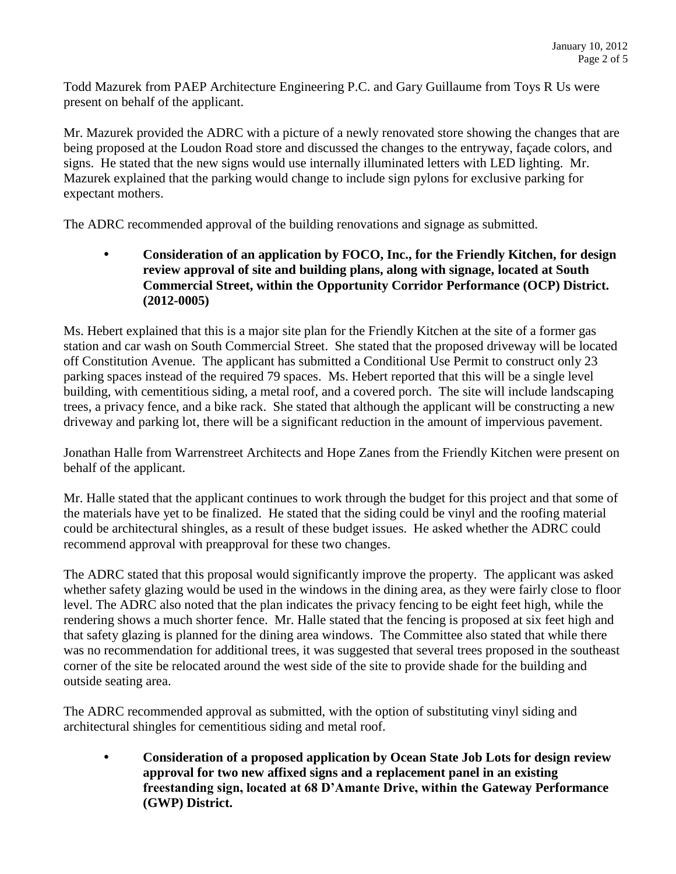Todd Mazurek from PAEP Architecture Engineering P.C. and Gary Guillaume from Toys R Us were present on behalf of the applicant.

Mr. Mazurek provided the ADRC with a picture of a newly renovated store showing the changes that are being proposed at the Loudon Road store and discussed the changes to the entryway, façade colors, and signs. He stated that the new signs would use internally illuminated letters with LED lighting. Mr. Mazurek explained that the parking would change to include sign pylons for exclusive parking for expectant mothers.

The ADRC recommended approval of the building renovations and signage as submitted.

 **Consideration of an application by FOCO, Inc., for the Friendly Kitchen, for design review approval of site and building plans, along with signage, located at South Commercial Street, within the Opportunity Corridor Performance (OCP) District. (2012-0005)**

Ms. Hebert explained that this is a major site plan for the Friendly Kitchen at the site of a former gas station and car wash on South Commercial Street. She stated that the proposed driveway will be located off Constitution Avenue. The applicant has submitted a Conditional Use Permit to construct only 23 parking spaces instead of the required 79 spaces. Ms. Hebert reported that this will be a single level building, with cementitious siding, a metal roof, and a covered porch. The site will include landscaping trees, a privacy fence, and a bike rack. She stated that although the applicant will be constructing a new driveway and parking lot, there will be a significant reduction in the amount of impervious pavement.

Jonathan Halle from Warrenstreet Architects and Hope Zanes from the Friendly Kitchen were present on behalf of the applicant.

Mr. Halle stated that the applicant continues to work through the budget for this project and that some of the materials have yet to be finalized. He stated that the siding could be vinyl and the roofing material could be architectural shingles, as a result of these budget issues. He asked whether the ADRC could recommend approval with preapproval for these two changes.

The ADRC stated that this proposal would significantly improve the property. The applicant was asked whether safety glazing would be used in the windows in the dining area, as they were fairly close to floor level. The ADRC also noted that the plan indicates the privacy fencing to be eight feet high, while the rendering shows a much shorter fence. Mr. Halle stated that the fencing is proposed at six feet high and that safety glazing is planned for the dining area windows. The Committee also stated that while there was no recommendation for additional trees, it was suggested that several trees proposed in the southeast corner of the site be relocated around the west side of the site to provide shade for the building and outside seating area.

The ADRC recommended approval as submitted, with the option of substituting vinyl siding and architectural shingles for cementitious siding and metal roof.

 **Consideration of a proposed application by Ocean State Job Lots for design review approval for two new affixed signs and a replacement panel in an existing freestanding sign, located at 68 D'Amante Drive, within the Gateway Performance (GWP) District.**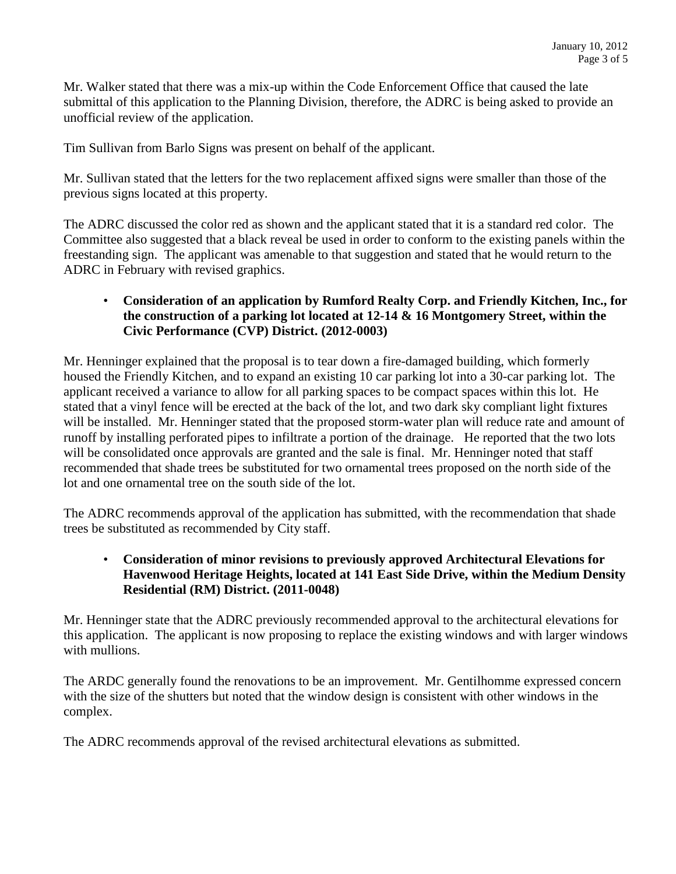Mr. Walker stated that there was a mix-up within the Code Enforcement Office that caused the late submittal of this application to the Planning Division, therefore, the ADRC is being asked to provide an unofficial review of the application.

Tim Sullivan from Barlo Signs was present on behalf of the applicant.

Mr. Sullivan stated that the letters for the two replacement affixed signs were smaller than those of the previous signs located at this property.

The ADRC discussed the color red as shown and the applicant stated that it is a standard red color. The Committee also suggested that a black reveal be used in order to conform to the existing panels within the freestanding sign. The applicant was amenable to that suggestion and stated that he would return to the ADRC in February with revised graphics.

## • **Consideration of an application by Rumford Realty Corp. and Friendly Kitchen, Inc., for the construction of a parking lot located at 12-14 & 16 Montgomery Street, within the Civic Performance (CVP) District. (2012-0003)**

Mr. Henninger explained that the proposal is to tear down a fire-damaged building, which formerly housed the Friendly Kitchen, and to expand an existing 10 car parking lot into a 30-car parking lot. The applicant received a variance to allow for all parking spaces to be compact spaces within this lot. He stated that a vinyl fence will be erected at the back of the lot, and two dark sky compliant light fixtures will be installed. Mr. Henninger stated that the proposed storm-water plan will reduce rate and amount of runoff by installing perforated pipes to infiltrate a portion of the drainage. He reported that the two lots will be consolidated once approvals are granted and the sale is final. Mr. Henninger noted that staff recommended that shade trees be substituted for two ornamental trees proposed on the north side of the lot and one ornamental tree on the south side of the lot.

The ADRC recommends approval of the application has submitted, with the recommendation that shade trees be substituted as recommended by City staff.

#### • **Consideration of minor revisions to previously approved Architectural Elevations for Havenwood Heritage Heights, located at 141 East Side Drive, within the Medium Density Residential (RM) District. (2011-0048)**

Mr. Henninger state that the ADRC previously recommended approval to the architectural elevations for this application. The applicant is now proposing to replace the existing windows and with larger windows with mullions.

The ARDC generally found the renovations to be an improvement. Mr. Gentilhomme expressed concern with the size of the shutters but noted that the window design is consistent with other windows in the complex.

The ADRC recommends approval of the revised architectural elevations as submitted.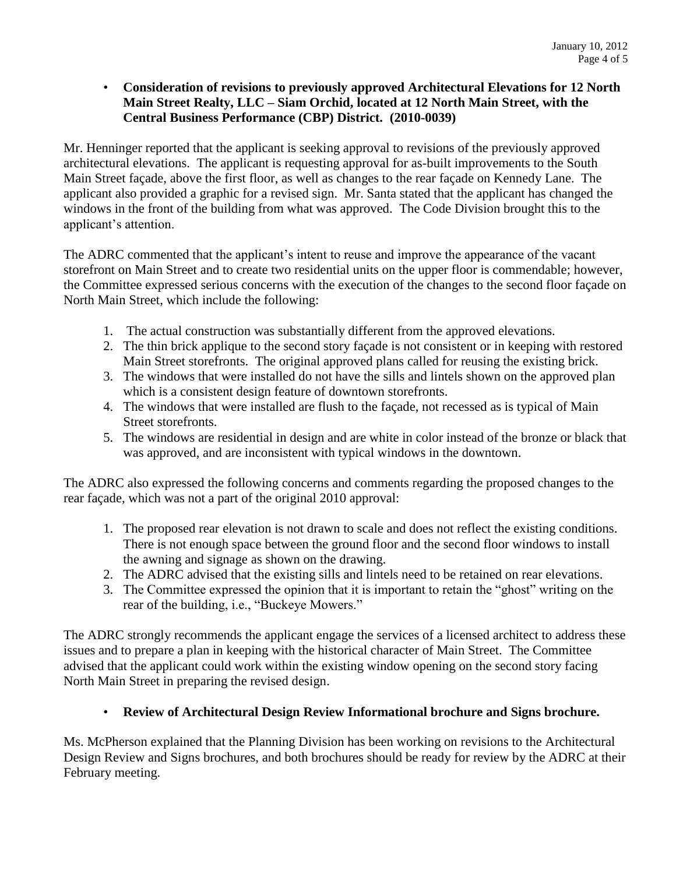## • **Consideration of revisions to previously approved Architectural Elevations for 12 North Main Street Realty, LLC – Siam Orchid, located at 12 North Main Street, with the Central Business Performance (CBP) District. (2010-0039)**

Mr. Henninger reported that the applicant is seeking approval to revisions of the previously approved architectural elevations. The applicant is requesting approval for as-built improvements to the South Main Street façade, above the first floor, as well as changes to the rear façade on Kennedy Lane. The applicant also provided a graphic for a revised sign. Mr. Santa stated that the applicant has changed the windows in the front of the building from what was approved. The Code Division brought this to the applicant's attention.

The ADRC commented that the applicant's intent to reuse and improve the appearance of the vacant storefront on Main Street and to create two residential units on the upper floor is commendable; however, the Committee expressed serious concerns with the execution of the changes to the second floor façade on North Main Street, which include the following:

- 1. The actual construction was substantially different from the approved elevations.
- 2. The thin brick applique to the second story façade is not consistent or in keeping with restored Main Street storefronts. The original approved plans called for reusing the existing brick.
- 3. The windows that were installed do not have the sills and lintels shown on the approved plan which is a consistent design feature of downtown storefronts.
- 4. The windows that were installed are flush to the façade, not recessed as is typical of Main Street storefronts.
- 5. The windows are residential in design and are white in color instead of the bronze or black that was approved, and are inconsistent with typical windows in the downtown.

The ADRC also expressed the following concerns and comments regarding the proposed changes to the rear façade, which was not a part of the original 2010 approval:

- 1. The proposed rear elevation is not drawn to scale and does not reflect the existing conditions. There is not enough space between the ground floor and the second floor windows to install the awning and signage as shown on the drawing.
- 2. The ADRC advised that the existing sills and lintels need to be retained on rear elevations.
- 3. The Committee expressed the opinion that it is important to retain the "ghost" writing on the rear of the building, i.e., "Buckeye Mowers."

The ADRC strongly recommends the applicant engage the services of a licensed architect to address these issues and to prepare a plan in keeping with the historical character of Main Street. The Committee advised that the applicant could work within the existing window opening on the second story facing North Main Street in preparing the revised design.

# • **Review of Architectural Design Review Informational brochure and Signs brochure.**

Ms. McPherson explained that the Planning Division has been working on revisions to the Architectural Design Review and Signs brochures, and both brochures should be ready for review by the ADRC at their February meeting.